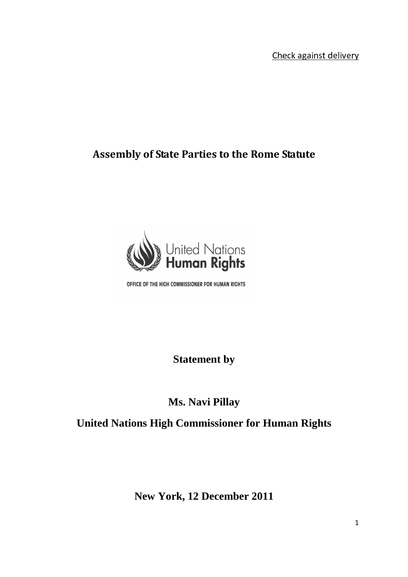- --

## **Assembly of State Parties to the Rome Statute**



OFFICE OF THE HIGH COMMISSIONER FOR HUMAN RIGHTS

**Statement by** 

## **Ms. Navi Pillay**

## **United Nations High Commissioner for Human Rights**

**New York, 12 December 2011**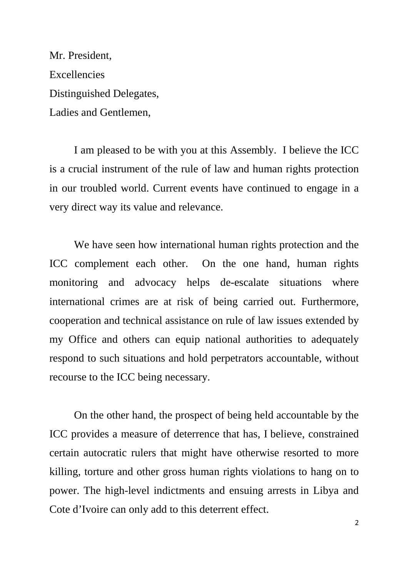Mr. President, **Excellencies** Distinguished Delegates, Ladies and Gentlemen,

 I am pleased to be with you at this Assembly. I believe the ICC is a crucial instrument of the rule of law and human rights protection in our troubled world. Current events have continued to engage in a very direct way its value and relevance.

 We have seen how international human rights protection and the ICC complement each other. On the one hand, human rights monitoring and advocacy helps de-escalate situations where international crimes are at risk of being carried out. Furthermore, cooperation and technical assistance on rule of law issues extended by my Office and others can equip national authorities to adequately respond to such situations and hold perpetrators accountable, without recourse to the ICC being necessary.

On the other hand, the prospect of being held accountable by the ICC provides a measure of deterrence that has, I believe, constrained certain autocratic rulers that might have otherwise resorted to more killing, torture and other gross human rights violations to hang on to power. The high-level indictments and ensuing arrests in Libya and Cote d'Ivoire can only add to this deterrent effect.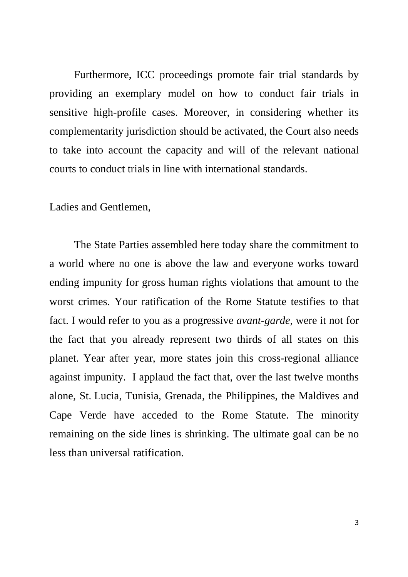Furthermore, ICC proceedings promote fair trial standards by providing an exemplary model on how to conduct fair trials in sensitive high-profile cases. Moreover, in considering whether its complementarity jurisdiction should be activated, the Court also needs to take into account the capacity and will of the relevant national courts to conduct trials in line with international standards.

Ladies and Gentlemen,

 The State Parties assembled here today share the commitment to a world where no one is above the law and everyone works toward ending impunity for gross human rights violations that amount to the worst crimes. Your ratification of the Rome Statute testifies to that fact. I would refer to you as a progressive *avant-garde,* were it not for the fact that you already represent two thirds of all states on this planet. Year after year, more states join this cross-regional alliance against impunity. I applaud the fact that, over the last twelve months alone, St. Lucia, Tunisia, Grenada, the Philippines, the Maldives and Cape Verde have acceded to the Rome Statute. The minority remaining on the side lines is shrinking. The ultimate goal can be no less than universal ratification.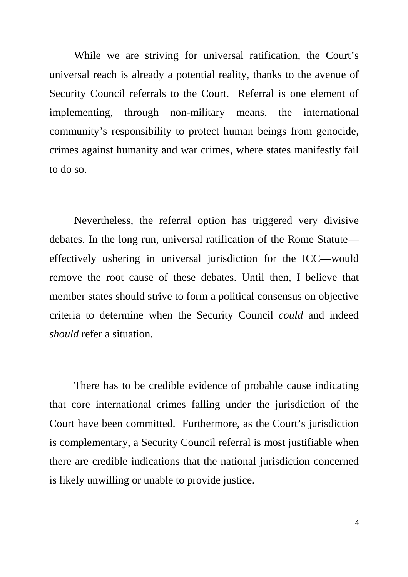While we are striving for universal ratification, the Court's universal reach is already a potential reality, thanks to the avenue of Security Council referrals to the Court. Referral is one element of implementing, through non-military means, the international community's responsibility to protect human beings from genocide, crimes against humanity and war crimes, where states manifestly fail to do so.

 Nevertheless, the referral option has triggered very divisive debates. In the long run, universal ratification of the Rome Statute effectively ushering in universal jurisdiction for the ICC—would remove the root cause of these debates. Until then, I believe that member states should strive to form a political consensus on objective criteria to determine when the Security Council *could* and indeed *should* refer a situation.

 There has to be credible evidence of probable cause indicating that core international crimes falling under the jurisdiction of the Court have been committed. Furthermore, as the Court's jurisdiction is complementary, a Security Council referral is most justifiable when there are credible indications that the national jurisdiction concerned is likely unwilling or unable to provide justice.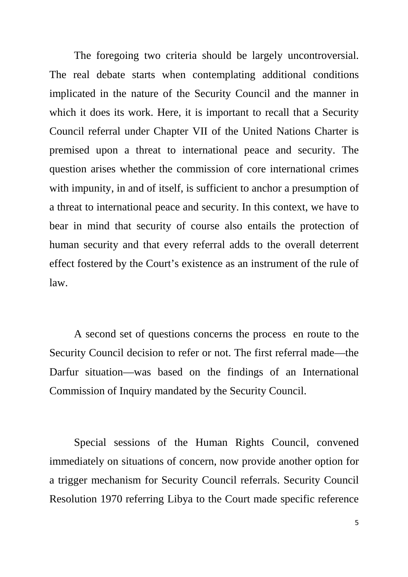The foregoing two criteria should be largely uncontroversial. The real debate starts when contemplating additional conditions implicated in the nature of the Security Council and the manner in which it does its work. Here, it is important to recall that a Security Council referral under Chapter VII of the United Nations Charter is premised upon a threat to international peace and security. The question arises whether the commission of core international crimes with impunity, in and of itself, is sufficient to anchor a presumption of a threat to international peace and security. In this context, we have to bear in mind that security of course also entails the protection of human security and that every referral adds to the overall deterrent effect fostered by the Court's existence as an instrument of the rule of law.

 A second set of questions concerns the process en route to the Security Council decision to refer or not. The first referral made—the Darfur situation—was based on the findings of an International Commission of Inquiry mandated by the Security Council.

 Special sessions of the Human Rights Council, convened immediately on situations of concern, now provide another option for a trigger mechanism for Security Council referrals. Security Council Resolution 1970 referring Libya to the Court made specific reference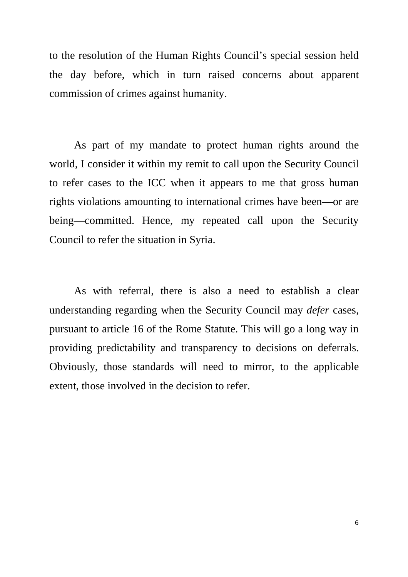to the resolution of the Human Rights Council's special session held the day before, which in turn raised concerns about apparent commission of crimes against humanity.

 As part of my mandate to protect human rights around the world, I consider it within my remit to call upon the Security Council to refer cases to the ICC when it appears to me that gross human rights violations amounting to international crimes have been—or are being—committed. Hence, my repeated call upon the Security Council to refer the situation in Syria.

 As with referral, there is also a need to establish a clear understanding regarding when the Security Council may *defer* cases, pursuant to article 16 of the Rome Statute. This will go a long way in providing predictability and transparency to decisions on deferrals. Obviously, those standards will need to mirror, to the applicable extent, those involved in the decision to refer.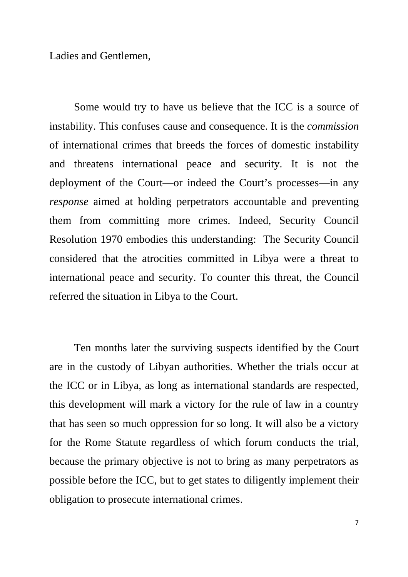Ladies and Gentlemen,

 Some would try to have us believe that the ICC is a source of instability. This confuses cause and consequence. It is the *commission*  of international crimes that breeds the forces of domestic instability and threatens international peace and security. It is not the deployment of the Court—or indeed the Court's processes—in any *response* aimed at holding perpetrators accountable and preventing them from committing more crimes. Indeed, Security Council Resolution 1970 embodies this understanding: The Security Council considered that the atrocities committed in Libya were a threat to international peace and security. To counter this threat, the Council referred the situation in Libya to the Court.

 Ten months later the surviving suspects identified by the Court are in the custody of Libyan authorities. Whether the trials occur at the ICC or in Libya, as long as international standards are respected, this development will mark a victory for the rule of law in a country that has seen so much oppression for so long. It will also be a victory for the Rome Statute regardless of which forum conducts the trial, because the primary objective is not to bring as many perpetrators as possible before the ICC, but to get states to diligently implement their obligation to prosecute international crimes.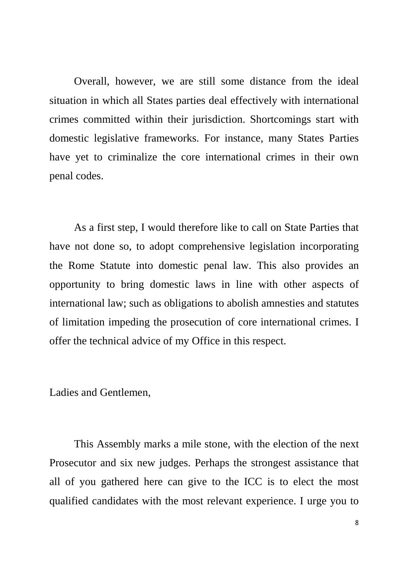Overall, however, we are still some distance from the ideal situation in which all States parties deal effectively with international crimes committed within their jurisdiction. Shortcomings start with domestic legislative frameworks. For instance, many States Parties have yet to criminalize the core international crimes in their own penal codes.

 As a first step, I would therefore like to call on State Parties that have not done so, to adopt comprehensive legislation incorporating the Rome Statute into domestic penal law. This also provides an opportunity to bring domestic laws in line with other aspects of international law; such as obligations to abolish amnesties and statutes of limitation impeding the prosecution of core international crimes. I offer the technical advice of my Office in this respect.

Ladies and Gentlemen,

 This Assembly marks a mile stone, with the election of the next Prosecutor and six new judges. Perhaps the strongest assistance that all of you gathered here can give to the ICC is to elect the most qualified candidates with the most relevant experience. I urge you to